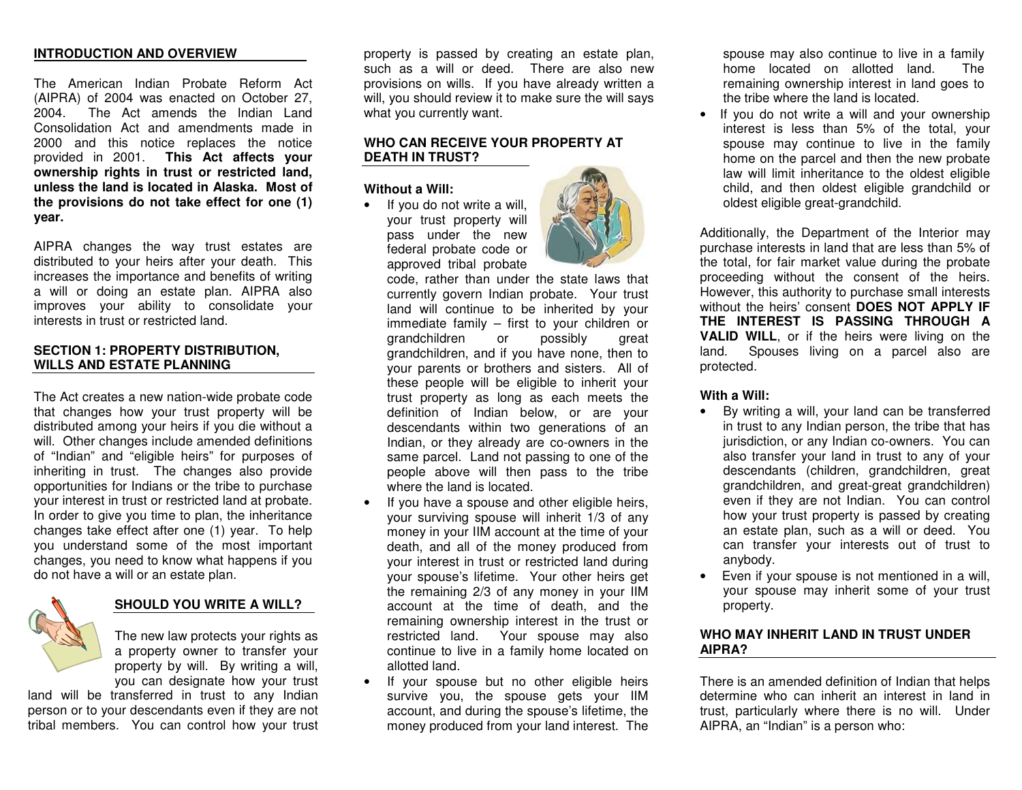#### **INTRODUCTIONANDOVERVIEW**

The American Indian Probate Reform Act (AIPRA) of 2004 was enacted on October 27, 2004. The Act amends the Indian Land Consolidation Act and amendments made in 2000and this notice re places the notice pro vid e d in 2 0 01. **T his A ct affe cts y o ur ownership rights in trust or restricted land, unless the la nd is lo cated in Alaska. Most of thepro visionsdonot takeeffect for one (1) y ear.**

AIPRA changes the way trust estates are distributed to your heirs after your death. This increases the importance and benefits of writing a will or d oing an estate plan. AIP R A also impro v es y our a bility to consolid ate y our interests in trust or restricte d land.

#### **SECTION 1: P ROPERTYDISTRIBUTION, WILLSANDESTATEPLANNING**

The Act creates a new nation-wide probate code that changes how your trust property will be distribute d a m ong y our heirs if y ou die without a will. Other chang es includ e a mend e d d efinitions of "Indian" and "eligible heirs" for purp oses of inheriting in trust. The changes also provide op p ortunities for Indians or the trib e to purchase y our interest in trust or restricte d land at pro bate. In order to give you time to plan, the inheritance chang es take effect after one (1) y e ar. T o help you understand some of the most important changes, you need to know what happens if you d o not ha v e a will or an estate plan.



#### **SHOULDYOUWRITEAWILL?**

The new law protects your rights as a property owner to transfer your property by will. By writing a will, y ou can d esignate ho wy our trust

land will be transferred in trust to any Indian person or to your descendants even if they are not tribal members. You can control how your trust property is passed by creating an estate plan, such as a will or deed. There are also new provisions on wills. If you have already written a will, you should review it to make sure the will says what y ou currently w ant.

#### **WHOCANRECEIVEYOURPROPERTYATDEATH IN TRUST?**

**Without aWill:**

•• If you do not write a will, your trust property will p ass under the ne wfederal probate code or ap pro ved trib al pro bate



co d e, rather than und er the state la ws that currently g overn Indian pro bate. Your trust land will continue to be inherited by your immediate fa mily – first to y our children or grandchildren or p ossibly gre atgrandchildren, and if y ou ha v e none, then to y our p arents or brothers and sisters. All of these people will be eligible to inherit your trust pro p erty as long as each meets thedefinition of Indian below, or are your d escend ants within tw o g enerations of an Indian, or the y alre a d y are co-o wners in the sa me p arcel. L and not p assing to one of the people above will then pass to the tribe where the land is locate d.

- •• If you have a spouse and other eligible heirs, your surviving spouse will inherit 1/3 of any m one y in y our IIM account at the tim e of y our death, and all of the money produced from y our interest in trust or restricte d land during y our sp ouse's lifetime. Your other heirs g et the re maining 2/3 of any mone y in y our IIMaccount at the time of death, and the re m aining o wnership interest in the trust or restricte d land. Your sp ouse ma y also continue to live in a family home located on allotte d land.
- If y our sp ouse but no other eligible heirs survive you, the spouse gets your IIM account, and during the sp ouse's lifetim e, the mone y pro duce d fro my our land interest. The

sp ousemay also continue to liv e in a fa mily home located on allotted land. The remaining ownership interest in land goes to the tribe where the land is located.

• If you do not write a will and your ownership interest is less than 5% of the total, your spouse may continue to live in the family ho m e on the p arcel and then the ne w pro b ate law will limit inheritance to the oldest eligible child, and then oldest eligible grandchild or old est eligible gre at-grandchild.

Additionally, the Dep artment of the Interior <sup>m</sup>ay purchase interests in land that are less than 5 %of the total, for fair market value during the probate proce eding without the consent of the heirs. H o w e v er, this authority to purchase sm all interests without the heirs' consent **DOESNOTAPPLY IF THE INTEREST ISPASSINGTHROUGHAVALIDWILL**, or if the heirs <sup>w</sup> ere living on the land. Spouses living on a parcel also are protecte d.

#### **WithaWill:**

- By writing a will, your land can be transferred in trust to any Indian p erson, the trib e that has jurisdiction, or any Indian co-o wners. You can also transfer y our land in trust to any of y our d escend ants (children, grandchildren, gre at grandchildren, and gre at-gre at grandchildren) even if they are not Indian. You can control how your trust property is passed by creating an estate plan, such as a will or deed. You can transfer y our interests out of trust to any body.
- Even if your spouse is not mentioned in a will, your spouse may inherit some of your trust property.

#### **WHOMAY INHERITLAND IN TRUSTUNDERAIPRA?**

There is an amended definition of Indian that helps determine who can inherit an interest in land in trust, p articularly where there is no will. Und er AIPRA, an "Indian" is <sup>a</sup> p erson who: